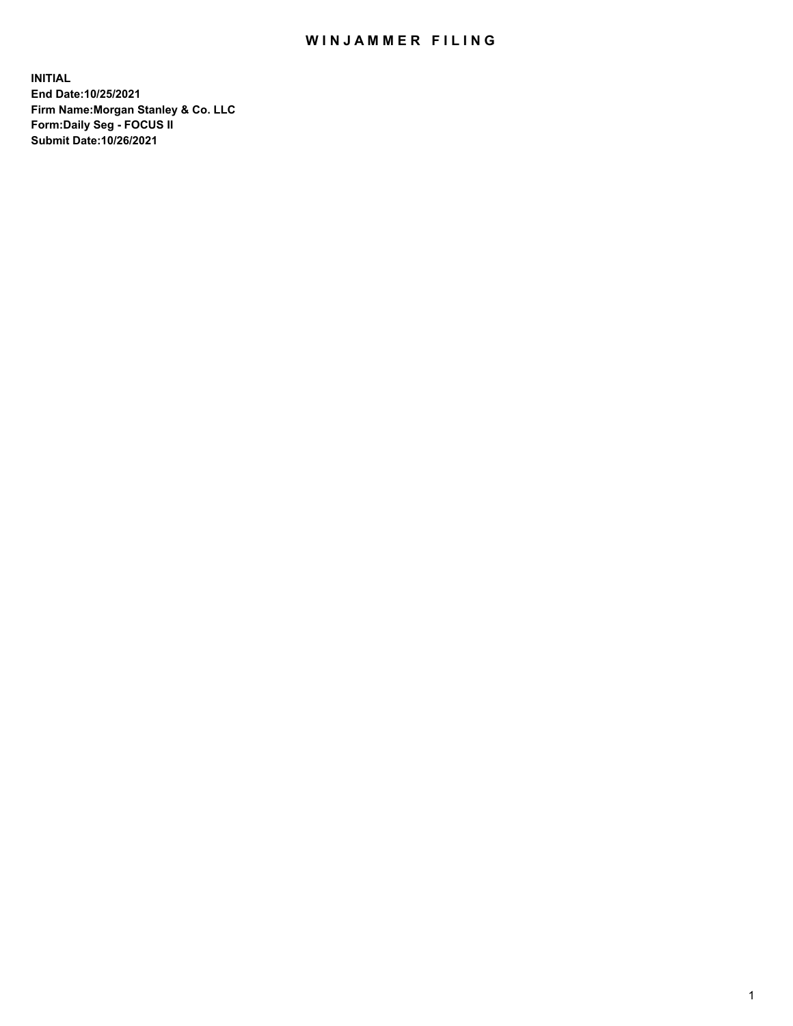## WIN JAMMER FILING

**INITIAL End Date:10/25/2021 Firm Name:Morgan Stanley & Co. LLC Form:Daily Seg - FOCUS II Submit Date:10/26/2021**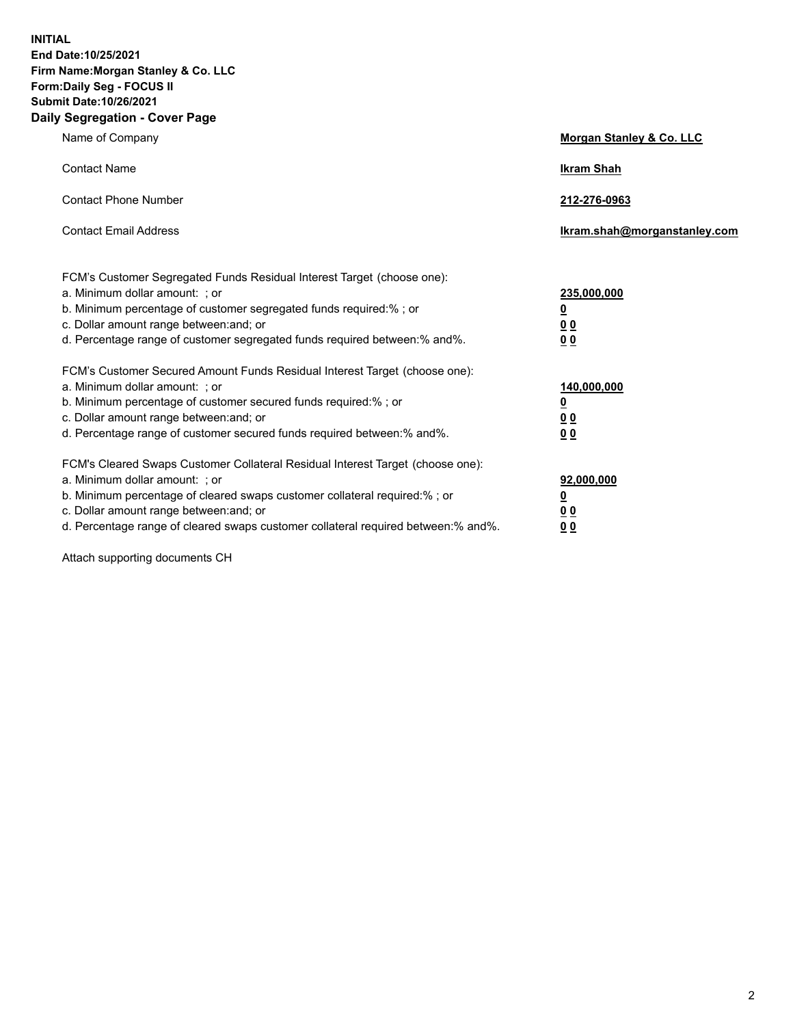**INITIAL End Date:10/25/2021 Firm Name:Morgan Stanley & Co. LLC Form:Daily Seg - FOCUS II Submit Date:10/26/2021 Daily Segregation - Cover Page**

| Name of Company                                                                                                                                                                                                                                                                                                               | Morgan Stanley & Co. LLC                               |
|-------------------------------------------------------------------------------------------------------------------------------------------------------------------------------------------------------------------------------------------------------------------------------------------------------------------------------|--------------------------------------------------------|
| <b>Contact Name</b>                                                                                                                                                                                                                                                                                                           | <b>Ikram Shah</b>                                      |
| <b>Contact Phone Number</b>                                                                                                                                                                                                                                                                                                   | 212-276-0963                                           |
| <b>Contact Email Address</b>                                                                                                                                                                                                                                                                                                  | Ikram.shah@morganstanley.com                           |
| FCM's Customer Segregated Funds Residual Interest Target (choose one):<br>a. Minimum dollar amount: ; or<br>b. Minimum percentage of customer segregated funds required:% ; or<br>c. Dollar amount range between: and; or<br>d. Percentage range of customer segregated funds required between:% and%.                        | 235,000,000<br><u>0</u><br><u>00</u><br>0 <sup>0</sup> |
| FCM's Customer Secured Amount Funds Residual Interest Target (choose one):<br>a. Minimum dollar amount: ; or<br>b. Minimum percentage of customer secured funds required:%; or<br>c. Dollar amount range between: and; or<br>d. Percentage range of customer secured funds required between:% and%.                           | 140,000,000<br><u>0</u><br><u>00</u><br>0 <sub>0</sub> |
| FCM's Cleared Swaps Customer Collateral Residual Interest Target (choose one):<br>a. Minimum dollar amount: ; or<br>b. Minimum percentage of cleared swaps customer collateral required:%; or<br>c. Dollar amount range between: and; or<br>d. Percentage range of cleared swaps customer collateral required between:% and%. | 92,000,000<br><u>0</u><br>0 Q<br>00                    |

Attach supporting documents CH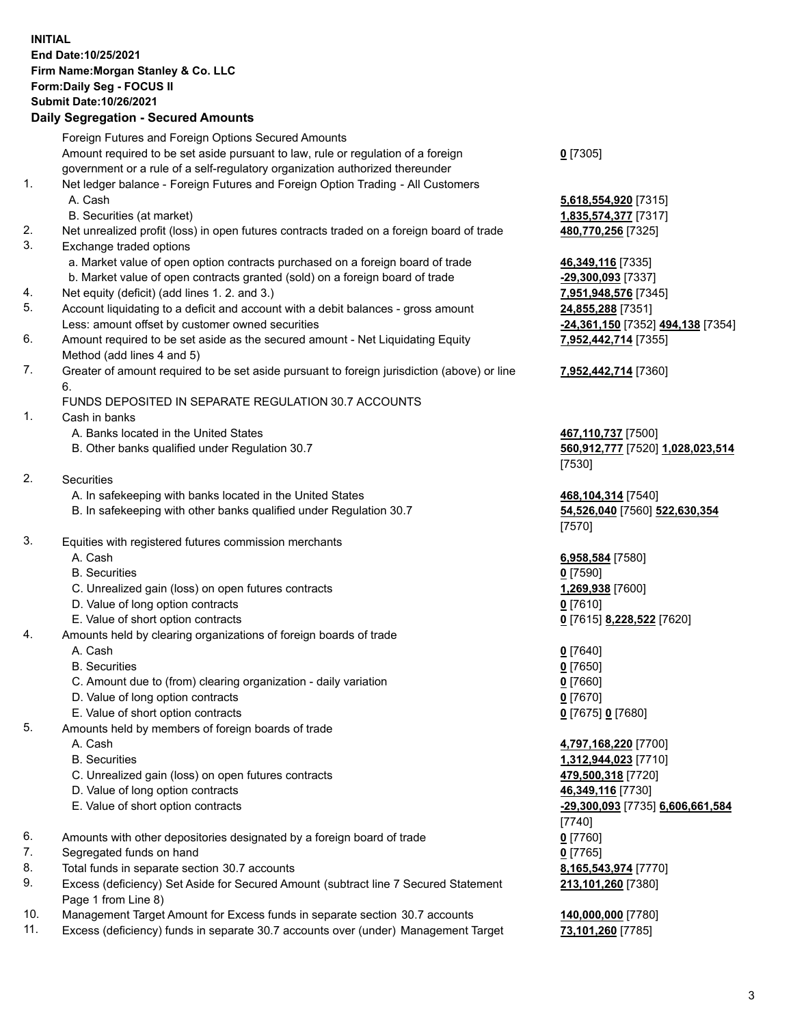## **INITIAL End Date:10/25/2021 Firm Name:Morgan Stanley & Co. LLC Form:Daily Seg - FOCUS II Submit Date:10/26/2021**

## **Daily Segregation - Secured Amounts**

Foreign Futures and Foreign Options Secured Amounts Amount required to be set aside pursuant to law, rule or regulation of a foreign government or a rule of a self-regulatory organization authorized thereunder 1. Net ledger balance - Foreign Futures and Foreign Option Trading - All Customers A. Cash **5,618,554,920** [7315] B. Securities (at market) **1,835,574,377** [7317] 2. Net unrealized profit (loss) in open futures contracts traded on a foreign board of trade **480,770,256** [7325] 3. Exchange traded options a. Market value of open option contracts purchased on a foreign board of trade **46,349,116** [7335] b. Market value of open contracts granted (sold) on a foreign board of trade **-29,300,093** [7337] 4. Net equity (deficit) (add lines 1. 2. and 3.) **7,951,948,576** [7345] 5. Account liquidating to a deficit and account with a debit balances - gross amount **24,855,288** [7351] Less: amount offset by customer owned securities **-24,361,150** [7352] **494,138** [7354] 6. Amount required to be set aside as the secured amount - Net Liquidating Equity Method (add lines 4 and 5) 7. Greater of amount required to be set aside pursuant to foreign jurisdiction (above) or line 6. FUNDS DEPOSITED IN SEPARATE REGULATION 30.7 ACCOUNTS 1. Cash in banks A. Banks located in the United States **467,110,737** [7500] B. Other banks qualified under Regulation 30.7 **560,912,777** [7520] **1,028,023,514** 2. Securities A. In safekeeping with banks located in the United States **468,104,314** [7540] B. In safekeeping with other banks qualified under Regulation 30.7 **54,526,040** [7560] **522,630,354** 3. Equities with registered futures commission merchants A. Cash **6,958,584** [7580] B. Securities **0** [7590] C. Unrealized gain (loss) on open futures contracts **1,269,938** [7600] D. Value of long option contracts **0** [7610] E. Value of short option contracts **0** [7615] **8,228,522** [7620] 4. Amounts held by clearing organizations of foreign boards of trade A. Cash **0** [7640] B. Securities **0** [7650] C. Amount due to (from) clearing organization - daily variation **0** [7660] D. Value of long option contracts **0** [7670] E. Value of short option contracts **0** [7675] **0** [7680] 5. Amounts held by members of foreign boards of trade A. Cash **4,797,168,220** [7700] B. Securities **1,312,944,023** [7710] C. Unrealized gain (loss) on open futures contracts **479,500,318** [7720] D. Value of long option contracts **46,349,116** [7730] E. Value of short option contracts **-29,300,093** [7735] **6,606,661,584** 6. Amounts with other depositories designated by a foreign board of trade **0** [7760] 7. Segregated funds on hand **0** [7765] 8. Total funds in separate section 30.7 accounts **8,165,543,974** [7770] 9. Excess (deficiency) Set Aside for Secured Amount (subtract line 7 Secured Statement

10. Management Target Amount for Excess funds in separate section 30.7 accounts **140,000,000** [7780]

Page 1 from Line 8)

11. Excess (deficiency) funds in separate 30.7 accounts over (under) Management Target **73,101,260** [7785]

**0** [7305]

**7,952,442,714** [7355]

## **7,952,442,714** [7360]

[7530]

[7570]

[7740] **213,101,260** [7380]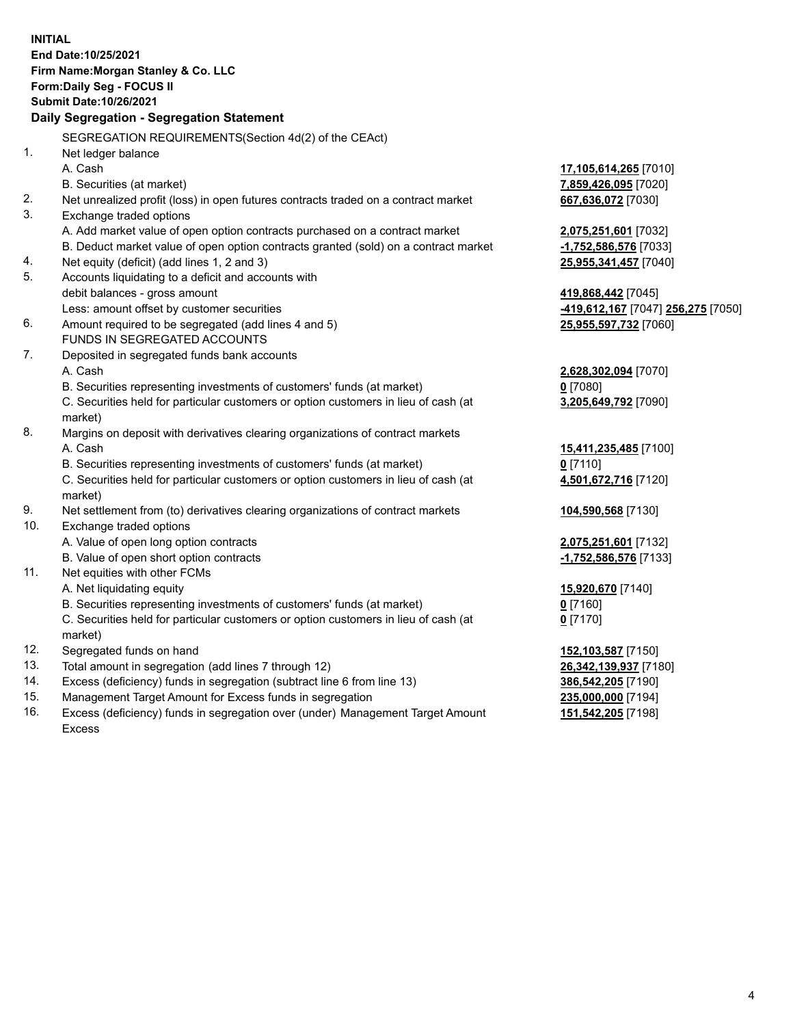**INITIAL End Date:10/25/2021 Firm Name:Morgan Stanley & Co. LLC Form:Daily Seg - FOCUS II Submit Date:10/26/2021 Daily Segregation - Segregation Statement** SEGREGATION REQUIREMENTS(Section 4d(2) of the CEAct) 1. Net ledger balance A. Cash **17,105,614,265** [7010] B. Securities (at market) **7,859,426,095** [7020] 2. Net unrealized profit (loss) in open futures contracts traded on a contract market **667,636,072** [7030] 3. Exchange traded options A. Add market value of open option contracts purchased on a contract market **2,075,251,601** [7032] B. Deduct market value of open option contracts granted (sold) on a contract market **-1,752,586,576** [7033] 4. Net equity (deficit) (add lines 1, 2 and 3) **25,955,341,457** [7040] 5. Accounts liquidating to a deficit and accounts with debit balances - gross amount **419,868,442** [7045] Less: amount offset by customer securities **-419,612,167** [7047] **256,275** [7050] 6. Amount required to be segregated (add lines 4 and 5) **25,955,597,732** [7060] FUNDS IN SEGREGATED ACCOUNTS 7. Deposited in segregated funds bank accounts A. Cash **2,628,302,094** [7070] B. Securities representing investments of customers' funds (at market) **0** [7080] C. Securities held for particular customers or option customers in lieu of cash (at market) **3,205,649,792** [7090] 8. Margins on deposit with derivatives clearing organizations of contract markets A. Cash **15,411,235,485** [7100] B. Securities representing investments of customers' funds (at market) **0** [7110] C. Securities held for particular customers or option customers in lieu of cash (at market) **4,501,672,716** [7120] 9. Net settlement from (to) derivatives clearing organizations of contract markets **104,590,568** [7130] 10. Exchange traded options A. Value of open long option contracts **2,075,251,601** [7132] B. Value of open short option contracts **-1,752,586,576** [7133] 11. Net equities with other FCMs A. Net liquidating equity **15,920,670** [7140] B. Securities representing investments of customers' funds (at market) **0** [7160] C. Securities held for particular customers or option customers in lieu of cash (at market) **0** [7170] 12. Segregated funds on hand **152,103,587** [7150] 13. Total amount in segregation (add lines 7 through 12) **26,342,139,937** [7180] 14. Excess (deficiency) funds in segregation (subtract line 6 from line 13) **386,542,205** [7190] 15. Management Target Amount for Excess funds in segregation **235,000,000** [7194] 16. Excess (deficiency) funds in segregation over (under) Management Target Amount **151,542,205** [7198]

Excess